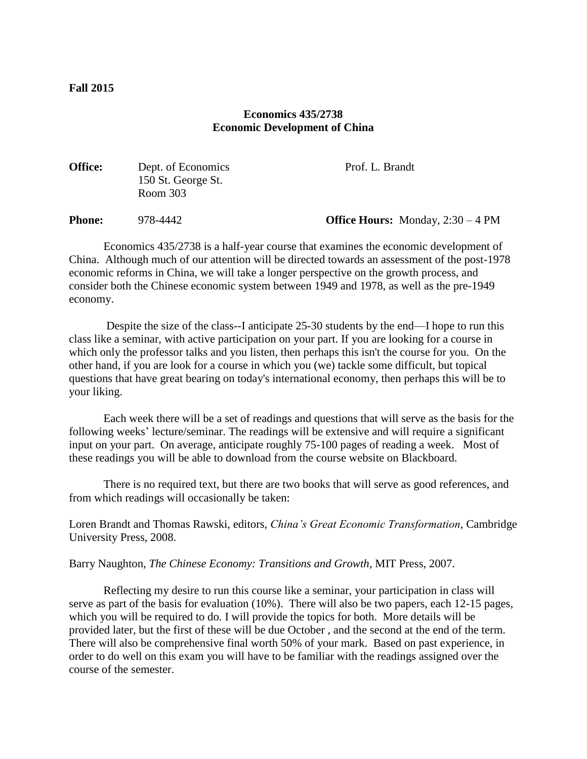# **Economics 435/2738 Economic Development of China**

| <b>Office:</b> | Dept. of Economics<br>150 St. George St.<br>Room $303$ | Prof. L. Brandt                            |
|----------------|--------------------------------------------------------|--------------------------------------------|
| <b>Phone:</b>  | 978-4442                                               | <b>Office Hours:</b> Monday, $2:30 - 4$ PM |

Economics 435/2738 is a half-year course that examines the economic development of China. Although much of our attention will be directed towards an assessment of the post-1978 economic reforms in China, we will take a longer perspective on the growth process, and consider both the Chinese economic system between 1949 and 1978, as well as the pre-1949 economy.

Despite the size of the class--I anticipate 25-30 students by the end—I hope to run this class like a seminar, with active participation on your part. If you are looking for a course in which only the professor talks and you listen, then perhaps this isn't the course for you. On the other hand, if you are look for a course in which you (we) tackle some difficult, but topical questions that have great bearing on today's international economy, then perhaps this will be to your liking.

Each week there will be a set of readings and questions that will serve as the basis for the following weeks' lecture/seminar. The readings will be extensive and will require a significant input on your part. On average, anticipate roughly 75-100 pages of reading a week. Most of these readings you will be able to download from the course website on Blackboard.

There is no required text, but there are two books that will serve as good references, and from which readings will occasionally be taken:

Loren Brandt and Thomas Rawski, editors, *China's Great Economic Transformation*, Cambridge University Press, 2008.

Barry Naughton, *The Chinese Economy: Transitions and Growth*, MIT Press, 2007.

Reflecting my desire to run this course like a seminar, your participation in class will serve as part of the basis for evaluation (10%). There will also be two papers, each 12-15 pages, which you will be required to do. I will provide the topics for both. More details will be provided later, but the first of these will be due October , and the second at the end of the term. There will also be comprehensive final worth 50% of your mark. Based on past experience, in order to do well on this exam you will have to be familiar with the readings assigned over the course of the semester.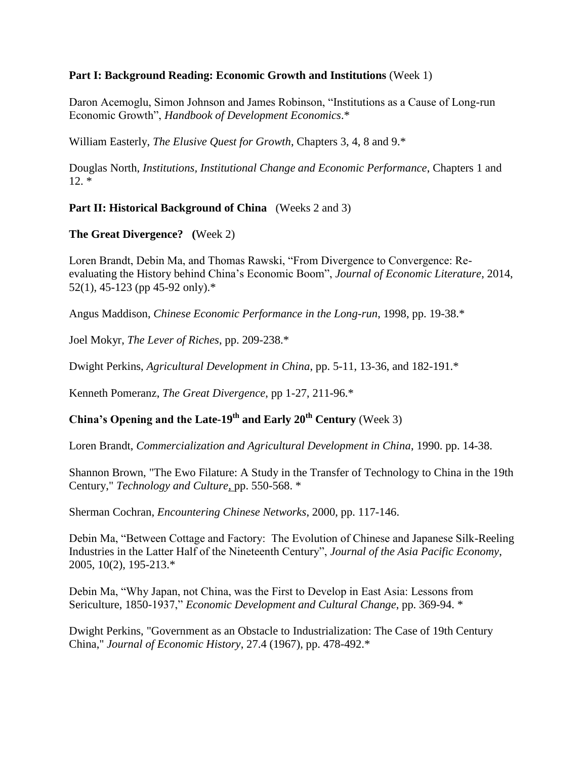#### **Part I: Background Reading: Economic Growth and Institutions** (Week 1)

Daron Acemoglu, Simon Johnson and James Robinson, "Institutions as a Cause of Long-run Economic Growth", *Handbook of Development Economics*.\*

William Easterly, *The Elusive Quest for Growth*, Chapters 3, 4, 8 and 9.\*

Douglas North, *Institutions, Institutional Change and Economic Performance*, Chapters 1 and  $12. *$ 

### **Part II: Historical Background of China** (Weeks 2 and 3)

### **The Great Divergence? (**Week 2)

Loren Brandt, Debin Ma, and Thomas Rawski, "From Divergence to Convergence: Reevaluating the History behind China's Economic Boom", *Journal of Economic Literature*, 2014, 52(1), 45-123 (pp 45-92 only).\*

Angus Maddison, *Chinese Economic Performance in the Long-run*, 1998, pp. 19-38.\*

Joel Mokyr, *The Lever of Riches*, pp. 209-238.\*

Dwight Perkins, *Agricultural Development in China*, pp. 5-11, 13-36, and 182-191.\*

Kenneth Pomeranz, *The Great Divergence*, pp 1-27, 211-96.\*

# **China's Opening and the Late-19th and Early 20th Century** (Week 3)

Loren Brandt, *Commercialization and Agricultural Development in China*, 1990. pp. 14-38.

Shannon Brown, "The Ewo Filature: A Study in the Transfer of Technology to China in the 19th Century," *Technology and Culture*, pp. 550-568. \*

Sherman Cochran, *Encountering Chinese Networks*, 2000, pp. 117-146.

Debin Ma, "Between Cottage and Factory: The Evolution of Chinese and Japanese Silk-Reeling Industries in the Latter Half of the Nineteenth Century", *Journal of the Asia Pacific Economy*, 2005, 10(2), 195-213.\*

Debin Ma, "Why Japan, not China, was the First to Develop in East Asia: Lessons from Sericulture, 1850-1937," *Economic Development and Cultural Change*, pp. 369-94. \*

Dwight Perkins, "Government as an Obstacle to Industrialization: The Case of 19th Century China," *Journal of Economic History*, 27.4 (1967), pp. 478-492.\*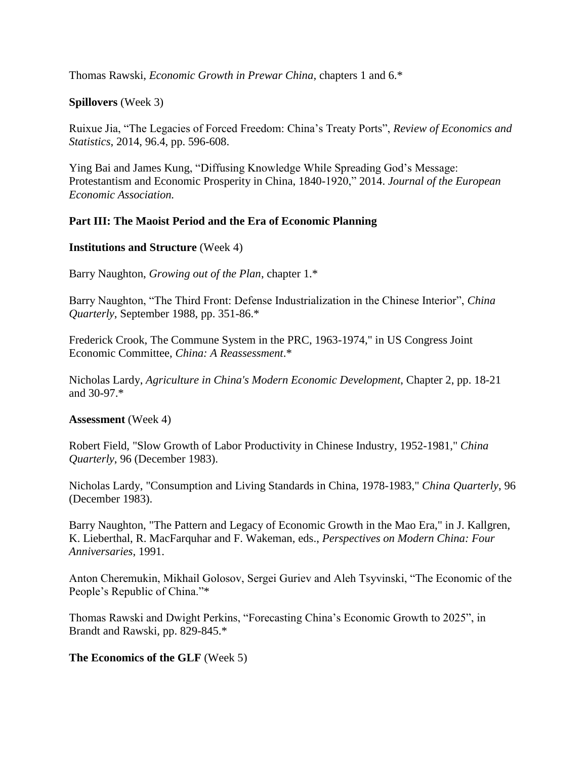Thomas Rawski, *Economic Growth in Prewar China*, chapters 1 and 6.\*

### **Spillovers** (Week 3)

Ruixue Jia, "The Legacies of Forced Freedom: China's Treaty Ports", *Review of Economics and Statistics*, 2014, 96.4, pp. 596-608.

Ying Bai and James Kung, "Diffusing Knowledge While Spreading God's Message: Protestantism and Economic Prosperity in China, 1840-1920," 2014. *Journal of the European Economic Association.*

### **Part III: The Maoist Period and the Era of Economic Planning**

#### **Institutions and Structure** (Week 4)

Barry Naughton, *Growing out of the Plan*, chapter 1.\*

Barry Naughton, "The Third Front: Defense Industrialization in the Chinese Interior", *China Quarterly*, September 1988, pp. 351-86.\*

Frederick Crook, The Commune System in the PRC, 1963-1974," in US Congress Joint Economic Committee, *China: A Reassessment*.\*

Nicholas Lardy, *Agriculture in China's Modern Economic Development*, Chapter 2, pp. 18-21 and 30-97.\*

#### **Assessment** (Week 4)

Robert Field, "Slow Growth of Labor Productivity in Chinese Industry, 1952-1981," *China Quarterly*, 96 (December 1983).

Nicholas Lardy, "Consumption and Living Standards in China, 1978-1983," *China Quarterly*, 96 (December 1983).

Barry Naughton, "The Pattern and Legacy of Economic Growth in the Mao Era," in J. Kallgren, K. Lieberthal, R. MacFarquhar and F. Wakeman, eds., *Perspectives on Modern China: Four Anniversaries*, 1991.

Anton Cheremukin, Mikhail Golosov, Sergei Guriev and Aleh Tsyvinski, "The Economic of the People's Republic of China."\*

Thomas Rawski and Dwight Perkins, "Forecasting China's Economic Growth to 2025", in Brandt and Rawski, pp. 829-845.\*

# **The Economics of the GLF** (Week 5)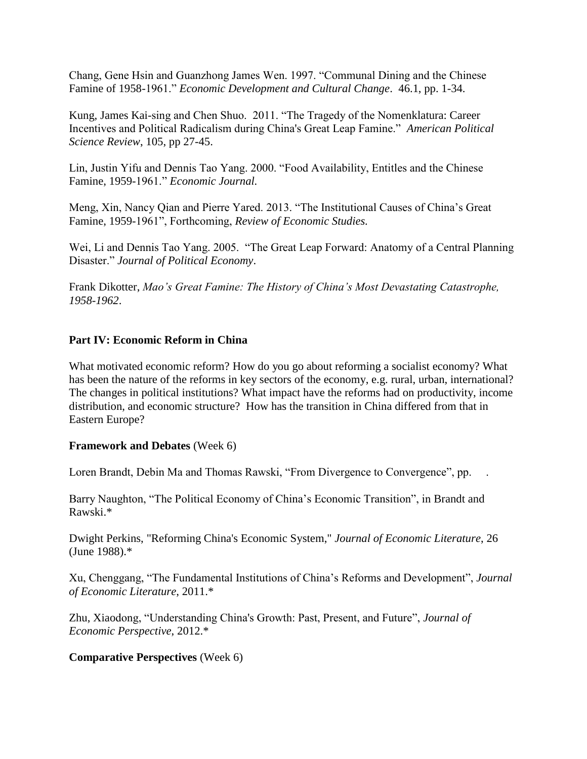Chang, Gene Hsin and Guanzhong James Wen. 1997. "Communal Dining and the Chinese Famine of 1958-1961." *Economic Development and Cultural Change*. 46.1, pp. 1-34.

Kung, James Kai-sing and Chen Shuo. 2011. "The Tragedy of the Nomenklatura: Career Incentives and Political Radicalism during China's Great Leap Famine." *American Political Science Review*, 105, pp 27-45.

Lin, Justin Yifu and Dennis Tao Yang. 2000. "Food Availability, Entitles and the Chinese Famine, 1959-1961." *Economic Journal.*

Meng, Xin, Nancy Qian and Pierre Yared. 2013. "The Institutional Causes of China's Great Famine, 1959-1961", Forthcoming, *Review of Economic Studies.*

Wei, Li and Dennis Tao Yang. 2005. "The Great Leap Forward: Anatomy of a Central Planning Disaster." *Journal of Political Economy*.

Frank Dikotter, *Mao's Great Famine: The History of China's Most Devastating Catastrophe, 1958-1962*.

### **Part IV: Economic Reform in China**

What motivated economic reform? How do you go about reforming a socialist economy? What has been the nature of the reforms in key sectors of the economy, e.g. rural, urban, international? The changes in political institutions? What impact have the reforms had on productivity, income distribution, and economic structure? How has the transition in China differed from that in Eastern Europe?

#### **Framework and Debates** (Week 6)

Loren Brandt, Debin Ma and Thomas Rawski, "From Divergence to Convergence", pp.

Barry Naughton, "The Political Economy of China's Economic Transition", in Brandt and Rawski.\*

Dwight Perkins, "Reforming China's Economic System," *Journal of Economic Literature*, 26 (June 1988).\*

Xu, Chenggang, "The Fundamental Institutions of China's Reforms and Development", *Journal of Economic Literature*, 2011.\*

Zhu, Xiaodong, "Understanding China's Growth: Past, Present, and Future", *Journal of Economic Perspective*, 2012.\*

# **Comparative Perspectives** (Week 6)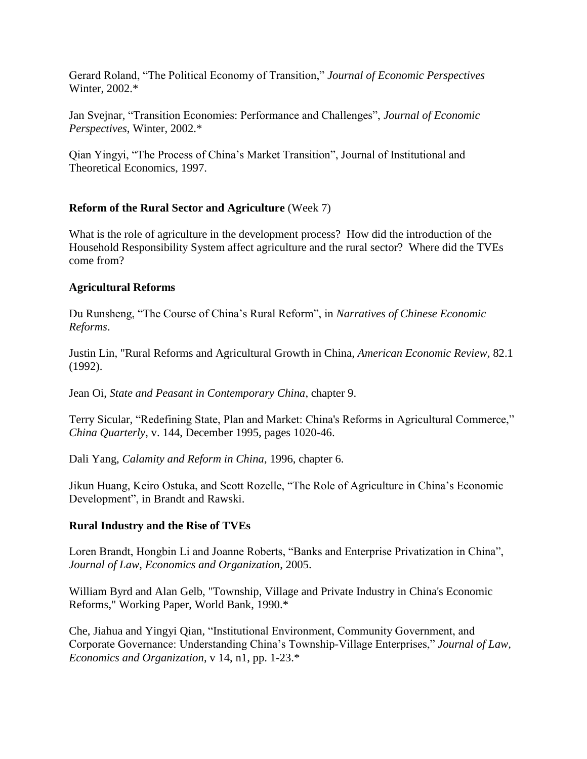Gerard Roland, "The Political Economy of Transition," *Journal of Economic Perspectives* Winter, 2002.\*

Jan Svejnar, "Transition Economies: Performance and Challenges", *Journal of Economic Perspectives*, Winter, 2002.\*

Qian Yingyi, "The Process of China's Market Transition", Journal of Institutional and Theoretical Economics, 1997.

# **Reform of the Rural Sector and Agriculture** (Week 7)

What is the role of agriculture in the development process? How did the introduction of the Household Responsibility System affect agriculture and the rural sector? Where did the TVEs come from?

# **Agricultural Reforms**

Du Runsheng, "The Course of China's Rural Reform", in *Narratives of Chinese Economic Reforms*.

Justin Lin, "Rural Reforms and Agricultural Growth in China, *American Economic Review*, 82.1 (1992).

Jean Oi, *State and Peasant in Contemporary China*, chapter 9.

Terry Sicular, "Redefining State, Plan and Market: China's Reforms in Agricultural Commerce," *China Quarterly*, v. 144, December 1995, pages 1020-46.

Dali Yang, *Calamity and Reform in China*, 1996, chapter 6.

Jikun Huang, Keiro Ostuka, and Scott Rozelle, "The Role of Agriculture in China's Economic Development", in Brandt and Rawski.

# **Rural Industry and the Rise of TVEs**

Loren Brandt, Hongbin Li and Joanne Roberts, "Banks and Enterprise Privatization in China", *Journal of Law, Economics and Organization*, 2005.

William Byrd and Alan Gelb, "Township, Village and Private Industry in China's Economic Reforms," Working Paper, World Bank, 1990.\*

Che, Jiahua and Yingyi Qian, "Institutional Environment, Community Government, and Corporate Governance: Understanding China's Township-Village Enterprises," *Journal of Law, Economics and Organization*, v 14, n1, pp. 1-23.\*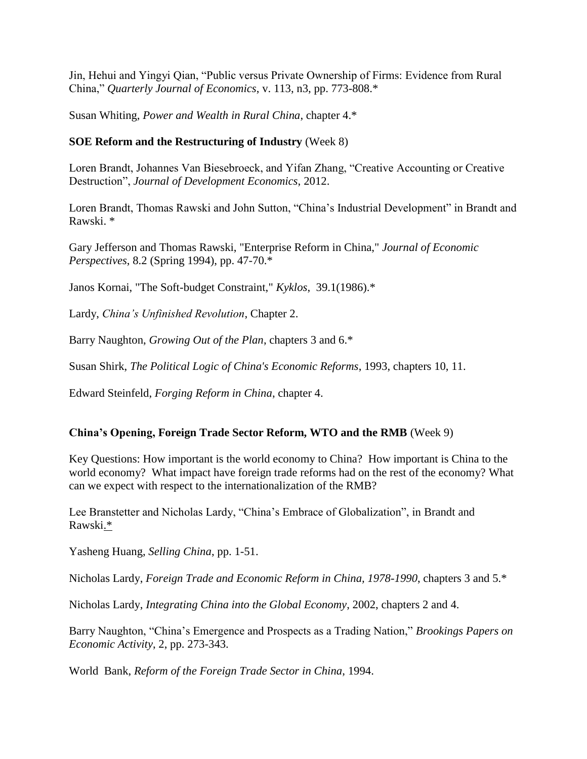Jin, Hehui and Yingyi Qian, "Public versus Private Ownership of Firms: Evidence from Rural China," *Quarterly Journal of Economics*, v. 113, n3, pp. 773-808.\*

Susan Whiting, *Power and Wealth in Rural China*, chapter 4.\*

### **SOE Reform and the Restructuring of Industry** (Week 8)

Loren Brandt, Johannes Van Biesebroeck, and Yifan Zhang, "Creative Accounting or Creative Destruction", *Journal of Development Economics*, 2012.

Loren Brandt, Thomas Rawski and John Sutton, "China's Industrial Development" in Brandt and Rawski. \*

Gary Jefferson and Thomas Rawski, "Enterprise Reform in China," *Journal of Economic Perspectives*, 8.2 (Spring 1994), pp. 47-70.\*

Janos Kornai, "The Soft-budget Constraint," *Kyklos*, 39.1(1986).\*

Lardy, *China's Unfinished Revolution*, Chapter 2.

Barry Naughton, *Growing Out of the Plan*, chapters 3 and 6.\*

Susan Shirk, *The Political Logic of China's Economic Reforms*, 1993, chapters 10, 11.

Edward Steinfeld, *Forging Reform in China*, chapter 4.

# **China's Opening, Foreign Trade Sector Reform, WTO and the RMB** (Week 9)

Key Questions: How important is the world economy to China? How important is China to the world economy? What impact have foreign trade reforms had on the rest of the economy? What can we expect with respect to the internationalization of the RMB?

Lee Branstetter and Nicholas Lardy, "China's Embrace of Globalization", in Brandt and Rawski.\*

Yasheng Huang, *Selling China*, pp. 1-51.

Nicholas Lardy, *Foreign Trade and Economic Reform in China, 1978-1990*, chapters 3 and 5.\*

Nicholas Lardy, *Integrating China into the Global Economy*, 2002, chapters 2 and 4.

Barry Naughton, "China's Emergence and Prospects as a Trading Nation," *Brookings Papers on Economic Activity*, 2, pp. 273-343.

World Bank, *Reform of the Foreign Trade Sector in China*, 1994.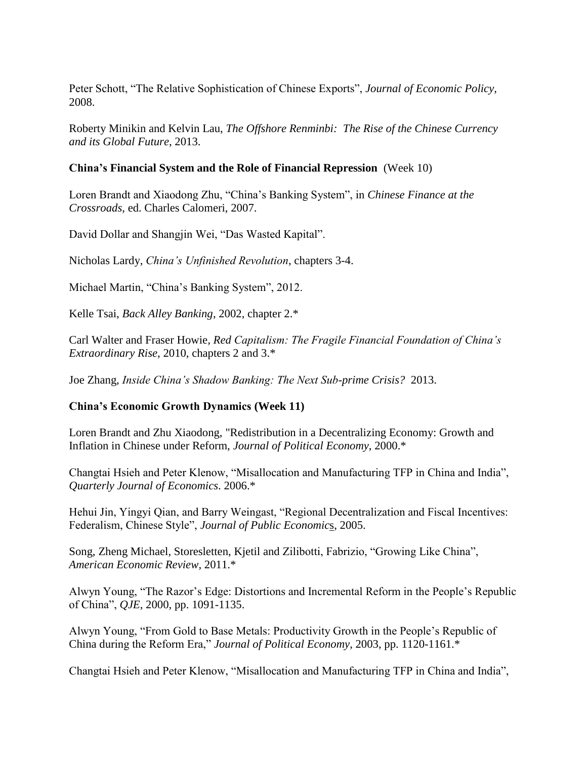Peter Schott, "The Relative Sophistication of Chinese Exports", *Journal of Economic Policy*, 2008.

Roberty Minikin and Kelvin Lau, *The Offshore Renminbi: The Rise of the Chinese Currency and its Global Future*, 2013.

### **China's Financial System and the Role of Financial Repression** (Week 10)

Loren Brandt and Xiaodong Zhu, "China's Banking System", in *Chinese Finance at the Crossroads*, ed. Charles Calomeri, 2007.

David Dollar and Shangjin Wei, "Das Wasted Kapital".

Nicholas Lardy, *China's Unfinished Revolution*, chapters 3-4.

Michael Martin, "China's Banking System", 2012.

Kelle Tsai, *Back Alley Banking*, 2002, chapter 2.\*

Carl Walter and Fraser Howie*, Red Capitalism: The Fragile Financial Foundation of China's Extraordinary Rise*, 2010, chapters 2 and 3.\*

Joe Zhang, *Inside China's Shadow Banking: The Next Sub-prime Crisis?* 2013.

# **China's Economic Growth Dynamics (Week 11)**

Loren Brandt and Zhu Xiaodong, "Redistribution in a Decentralizing Economy: Growth and Inflation in Chinese under Reform, *Journal of Political Economy*, 2000.\*

Changtai Hsieh and Peter Klenow, "Misallocation and Manufacturing TFP in China and India", *Quarterly Journal of Economics*. 2006.\*

Hehui Jin, Yingyi Qian, and Barry Weingast, "Regional Decentralization and Fiscal Incentives: Federalism, Chinese Style", *Journal of Public Economic*s, 2005.

Song, Zheng Michael, Storesletten, Kjetil and Zilibotti, Fabrizio, "Growing Like China", *American Economic Review,* 2011.\*

Alwyn Young, "The Razor's Edge: Distortions and Incremental Reform in the People's Republic of China", *QJE*, 2000, pp. 1091-1135.

Alwyn Young, "From Gold to Base Metals: Productivity Growth in the People's Republic of China during the Reform Era," *Journal of Political Economy*, 2003, pp. 1120-1161.\*

Changtai Hsieh and Peter Klenow, "Misallocation and Manufacturing TFP in China and India",